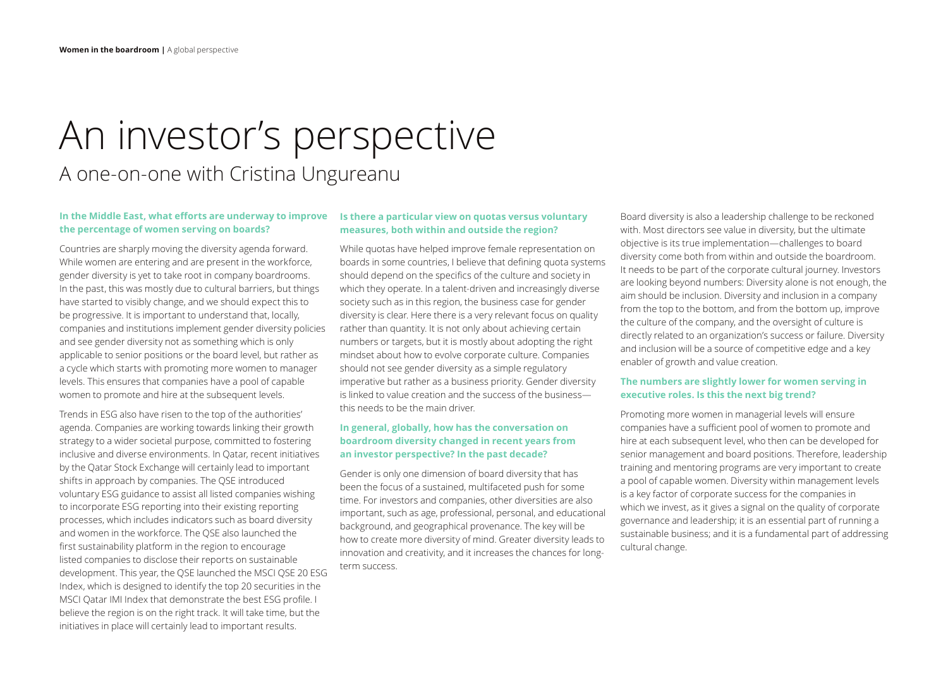# An investor's perspective A one-on-one with Cristina Ungureanu

#### **In the Middle East, what efforts are underway to improve the percentage of women serving on boards?**

Countries are sharply moving the diversity agenda forward. While women are entering and are present in the workforce, gender diversity is yet to take root in company boardrooms. In the past, this was mostly due to cultural barriers, but things have started to visibly change, and we should expect this to be progressive. It is important to understand that, locally, companies and institutions implement gender diversity policies and see gender diversity not as something which is only applicable to senior positions or the board level, but rather as a cycle which starts with promoting more women to manager levels. This ensures that companies have a pool of capable women to promote and hire at the subsequent levels.

Trends in ESG also have risen to the top of the authorities' agenda. Companies are working towards linking their growth strategy to a wider societal purpose, committed to fostering inclusive and diverse environments. In Qatar, recent initiatives by the Qatar Stock Exchange will certainly lead to important shifts in approach by companies. The QSE introduced voluntary ESG guidance to assist all listed companies wishing to incorporate ESG reporting into their existing reporting processes, which includes indicators such as board diversity and women in the workforce. The QSE also launched the first sustainability platform in the region to encourage listed companies to disclose their reports on sustainable development. This year, the QSE launched the MSCI QSE 20 ESG Index, which is designed to identify the top 20 securities in the MSCI Qatar IMI Index that demonstrate the best ESG profile. I believe the region is on the right track. It will take time, but the initiatives in place will certainly lead to important results.

#### **Is there a particular view on quotas versus voluntary measures, both within and outside the region?**

While quotas have helped improve female representation on boards in some countries, I believe that defining quota systems should depend on the specifics of the culture and society in which they operate. In a talent-driven and increasingly diverse society such as in this region, the business case for gender diversity is clear. Here there is a very relevant focus on quality rather than quantity. It is not only about achieving certain numbers or targets, but it is mostly about adopting the right mindset about how to evolve corporate culture. Companies should not see gender diversity as a simple regulatory imperative but rather as a business priority. Gender diversity is linked to value creation and the success of the business this needs to be the main driver.

## **In general, globally, how has the conversation on boardroom diversity changed in recent years from an investor perspective? In the past decade?**

Gender is only one dimension of board diversity that has been the focus of a sustained, multifaceted push for some time. For investors and companies, other diversities are also important, such as age, professional, personal, and educational background, and geographical provenance. The key will be how to create more diversity of mind. Greater diversity leads to innovation and creativity, and it increases the chances for longterm success.

Board diversity is also a leadership challenge to be reckoned with. Most directors see value in diversity, but the ultimate objective is its true implementation—challenges to board diversity come both from within and outside the boardroom. It needs to be part of the corporate cultural journey. Investors are looking beyond numbers: Diversity alone is not enough, the aim should be inclusion. Diversity and inclusion in a company from the top to the bottom, and from the bottom up, improve the culture of the company, and the oversight of culture is directly related to an organization's success or failure. Diversity and inclusion will be a source of competitive edge and a key enabler of growth and value creation.

## **The numbers are slightly lower for women serving in executive roles. Is this the next big trend?**

Promoting more women in managerial levels will ensure companies have a sufficient pool of women to promote and hire at each subsequent level, who then can be developed for senior management and board positions. Therefore, leadership training and mentoring programs are very important to create a pool of capable women. Diversity within management levels is a key factor of corporate success for the companies in which we invest, as it gives a signal on the quality of corporate governance and leadership; it is an essential part of running a sustainable business; and it is a fundamental part of addressing cultural change.